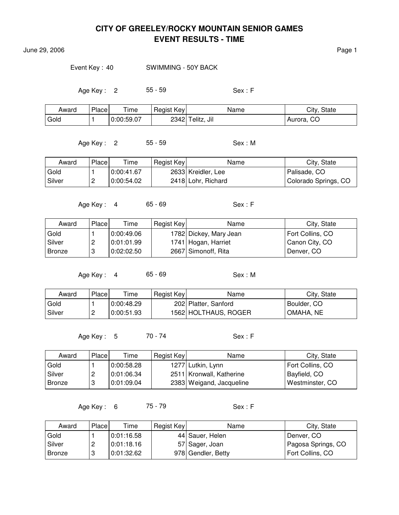June 29, 2006 Page 1

Event Key : 40 SWIMMING - 50Y BACK

Age Key : 2 55 - 59 Sex : F

| Award | Place | $T$ ime    | Regist Key | Name             | City, State |
|-------|-------|------------|------------|------------------|-------------|
| Gold  |       | 0:00:59.07 |            | 2342 Telitz, Jil | Aurora, CO  |

Age Key : 2 55 - 59 Sex : M

Award Place Time Regist Key Name Name City, State Gold  $\vert$  1  $\vert$  0:00:41.67  $\vert$  2633 Kreidler, Lee Palisade, CO Silver | 2 | 0:00:54.02 | 2418 Lohr, Richard | Colorado Springs, CO

Age Key : 4 65 - 69 Sex : F

Award Place Time Regist Key Name Name City, State Gold  $\vert$  1  $\vert$  0:00:49.06  $\vert$  1782 Dickey, Mary Jean Fort Collins, CO Silver 2 0:01:01.99 1741 Hogan, Harriet Canon City, CO Bronze 3 0:02:02.50 | 2667 Simonoff, Rita | Denver, CO

Age Key: 4 65 - 69 Sex: M

| Award  | Place | $T$ ime      | Regist Key | Name                 | City, State |
|--------|-------|--------------|------------|----------------------|-------------|
| Gold   |       | 0:00:48.29 0 |            | 202 Platter, Sanford | Boulder, CO |
| Silver |       | 0:00:51.93   |            | 1562 HOLTHAUS, ROGER | OMAHA, NE   |

Age Key : 5 70 - 74 Sex : F

| Award         | Place | Time       | Regist Key | Name                     | City, State      |
|---------------|-------|------------|------------|--------------------------|------------------|
| Gold          |       | 0:00:58.28 |            | 1277 Lutkin, Lynn        | Fort Collins, CO |
| Silver        | 2     | 0:01:06.34 |            | 2511 Kronwall, Katherine | Bayfield, CO     |
| <b>Bronze</b> | 3     | 0:01:09.04 |            | 2383 Weigand, Jacqueline | Westminster, CO  |

Age Key : 6 75 - 79 Sex : F

| Award    | Place | Time       | Regist Key | Name               | City, State        |
|----------|-------|------------|------------|--------------------|--------------------|
| Gold     |       | 0:01:16.58 |            | 44 Sauer, Helen    | Denver, CO         |
| l Silver |       | 0:01:18.16 |            | 57 Sager, Joan     | Pagosa Springs, CO |
| Bronze   |       | 0:01:32.62 |            | 978 Gendler, Betty | Fort Collins, CO   |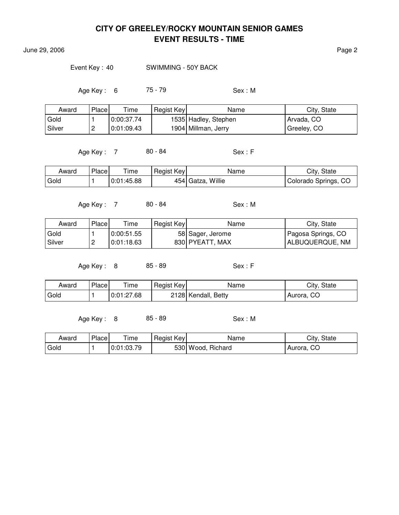**June 29, 2006** Page 2

Event Key: 40 SWIMMING - 50Y BACK

Age Key : 6 75 - 79 Sex : M

| Award  | Place    | Time       | Regist Key | Name                 | City, State |
|--------|----------|------------|------------|----------------------|-------------|
| Gold   |          | 0:00:37.74 |            | 1535 Hadley, Stephen | Arvada, CO  |
| Silver | <u>_</u> | 0:01:09.43 |            | 1904 Millman, Jerry  | Greeley, CO |

Age Key : 7 80 - 84 Sex : F

| Award | Place | ime        | Regist Key | Name              | City, State          |
|-------|-------|------------|------------|-------------------|----------------------|
| Gold  |       | 0:01:45.88 |            | 454 Gatza, Willie | Colorado Springs, CO |

Age Key : 7 80 - 84 Sex : M

| Award  | Place    | Time       | Regist Key | Name             | City, State        |
|--------|----------|------------|------------|------------------|--------------------|
| Gold   |          | 0:00:51.55 |            | 58 Sager, Jerome | Pagosa Springs, CO |
| Silver | <u>_</u> | 0.01:18.63 |            | 830 PYEATT, MAX  | ALBUQUERQUE, NM    |

Age Key : 8 85 - 89 Sex : F

| Award | Place | $T$ ime    | Regist Key | Name                | City, State |
|-------|-------|------------|------------|---------------------|-------------|
| Gold  |       | 0:01:27.68 |            | 2128 Kendall, Betty | Aurora, CO  |

Age Key: 8 85 - 89 Sex: M

| Award | Place | Time       | Regist Key | Name              | City, State |
|-------|-------|------------|------------|-------------------|-------------|
| Gold  |       | 0:01:03.79 |            | 530 Wood, Richard | Aurora, CO  |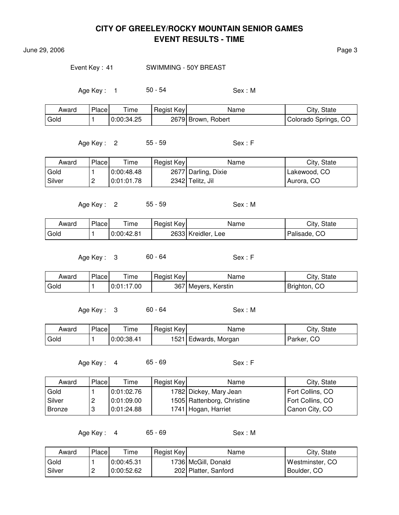June 29, 2006 Page 3

#### Event Key: 41 SWIMMING - 50Y BREAST

Age Key: 1 50 - 54 Sex: M

| Award | Place | $T$ ime    | Regist Key | Name               | City, State          |
|-------|-------|------------|------------|--------------------|----------------------|
| Gold  |       | 0:00:34.25 |            | 2679 Brown, Robert | Colorado Springs, CO |

Age Key : 2 55 - 59 Sex : F

Award Place Time Regist Key Name Name City, State Gold  $\vert$  1  $\vert$  0:00:48.48  $\vert$  2677 Darling, Dixie  $\vert$  Lakewood, CO Silver | 2 | 0:01:01.78 | 2342 Telitz, Jil | Aurora, CO

Age Key : 2 55 - 59 Sex : M

| Award | Place, | $- \cdot$<br>ime | Regist Key | Name                  | City, State  |
|-------|--------|------------------|------------|-----------------------|--------------|
| Gold  |        | 0:00:42.81       |            | 2633 Kreidler,<br>Lee | Palisade, CO |

Age Key : 3 60 - 64 Sex : F

Award Place Time Regist Key Name Name City, State Gold  $\vert$  1  $\vert$  0:01:17.00  $\vert$  367 Meyers, Kerstin **Brighton, CO** 

Age Key: 3 60 - 64 Sex: M

| Award | Place | Time       | Regist Key | Name                 | City, State |
|-------|-------|------------|------------|----------------------|-------------|
| Gold  |       | 0:00:38.41 |            | 1521 Edwards, Morgan | Parker, CO  |

Age Key : 4 65 - 69 Sex : F

| Award    | Placel | Time       | Regist Key | Name                       | City, State      |
|----------|--------|------------|------------|----------------------------|------------------|
| Gold     |        | 0:01:02.76 |            | 1782 Dickey, Mary Jean     | Fort Collins, CO |
| l Silver | ▃      | 0.01:09.00 |            | 1505 Rattenborg, Christine | Fort Collins, CO |
| Bronze   |        | 0:01:24.88 |            | 1741 Hogan, Harriet        | Canon City, CO   |

Age Key: 4 65 - 69 Sex: M

| Award               | Place | Time       | Regist Key | Name                  | City, State     |
|---------------------|-------|------------|------------|-----------------------|-----------------|
| Gold                |       | 0:00:45.31 |            | 1736   McGill, Donald | Westminster, CO |
| <sub>i</sub> Silver | ∼     | 0:00:52.62 |            | 202 Platter, Sanford  | Boulder, CO     |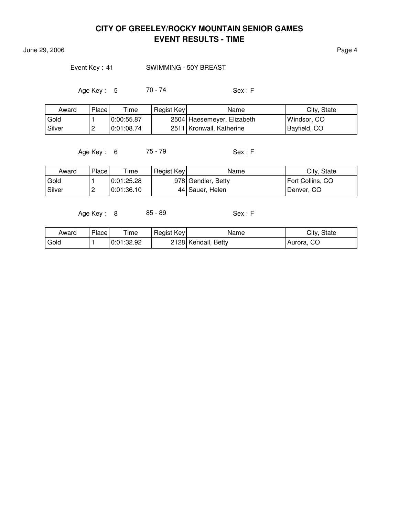June 29, 2006 **Page 4** 

#### Event Key: 41 SWIMMING - 50Y BREAST

Age Key : 5 70 - 74 Sex : F

| Award    | Place    | Time       | Regist Key | Name                       | City, State  |
|----------|----------|------------|------------|----------------------------|--------------|
| Gold     |          | 0:00:55.87 |            | 2504 Haesemeyer, Elizabeth | Windsor, CO  |
| l Silver | <u>_</u> | 0:01:08.74 |            | 2511 Kronwall, Katherine   | Bayfield, CO |

Age Key : 6 75 - 79 Sex : F

| Award  | Place | Time       | Regist Key | Name               | City, State      |
|--------|-------|------------|------------|--------------------|------------------|
| Gold   |       | 0:01:25.28 |            | 978 Gendler, Betty | Fort Collins, CO |
| Silver | c     | 0:01:36.10 |            | 44 Sauer, Helen    | Denver, CO       |

Age Key : 8 85 - 89 Sex : F

| Award | Place | $\mathsf{r}_{\mathsf{ime}}$ | Regist Key | Name                | City, State |
|-------|-------|-----------------------------|------------|---------------------|-------------|
| Gold  |       | 0:01:32.92                  |            | 2128 Kendall, Betty | Aurora, CO  |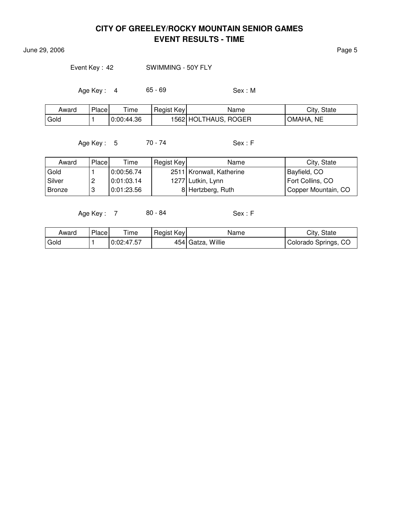**June 29, 2006** Page 5

Event Key: 42 SWIMMING - 50Y FLY

Age Key : 4 65 - 69 Sex : M

| Award | Place | $T$ ime    | Regist Key | Name                 | City, State |
|-------|-------|------------|------------|----------------------|-------------|
| Gold  |       | 0:00:44.36 |            | 1562 HOLTHAUS, ROGER | OMAHA, NE   |

Age Key : 5 70 - 74 Sex : F

| Award    | <b>Place</b> | Time       | Regist Key | Name                       | City, State         |
|----------|--------------|------------|------------|----------------------------|---------------------|
| Gold     |              | 0:00:56.74 |            | 2511   Kronwall, Katherine | Bayfield, CO        |
| l Silver |              | 0:01:03.14 |            | 1277 Lutkin, Lynn          | Fort Collins, CO    |
| Bronze   |              | 0:01:23.56 |            | 8 Hertzberg, Ruth          | Copper Mountain, CO |

Age Key : 7 80 - 84 Sex : F

| Award | Place | Time       | Regist Key | Name              | City, State          |
|-------|-------|------------|------------|-------------------|----------------------|
| Gold  |       | 0:02:47.57 |            | 454 Gatza, Willie | Colorado Springs, CO |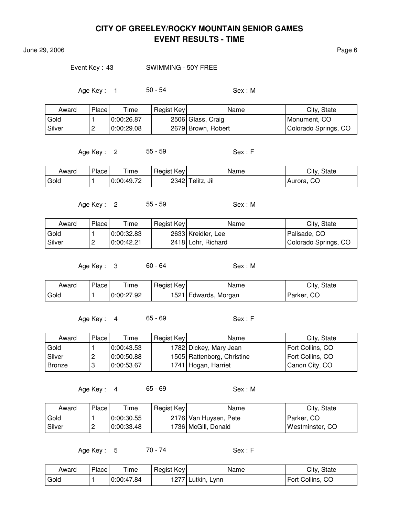June 29, 2006 **Page 6** 

Event Key : 43 SWIMMING - 50Y FREE

Age Key : 1 50 - 54 Sex : M

| Award  | Place | Time       | Regist Key | Name               | City, State          |
|--------|-------|------------|------------|--------------------|----------------------|
| Gold   |       | 0:00:26.87 |            | 2506 Glass, Craig  | Monument, CO         |
| Silver | c     | 0:00:29.08 |            | 2679 Brown, Robert | Colorado Springs, CO |

Age Key : 2 55 - 59 Sex : F

| Award | Place | Time       | Regist Key | Name                | City, State |
|-------|-------|------------|------------|---------------------|-------------|
| Gold  |       | 0:00:49.72 |            | Jil<br>2342 Telitz, | Aurora, CO  |

Age Key: 2 55 - 59 Sex: M

| Award    | Place    | $\tau$ ime | Regist Key | Name               | City, State          |
|----------|----------|------------|------------|--------------------|----------------------|
| Gold     |          | 0:00:32.83 |            | 2633 Kreidler, Lee | Palisade, CO         |
| l Silver | <u>_</u> | 0:00:42.21 |            | 2418 Lohr, Richard | Colorado Springs, CO |

Age Key : 3 60 - 64 Sex : M

| Award | Place | $T$ ime    | Regist Key | Name                 | City, State |
|-------|-------|------------|------------|----------------------|-------------|
| Gold  |       | 0:00:27.92 |            | 1521 Edwards, Morgan | Parker, CO  |

Age Key : 4 65 - 69 Sex : F

| Award    | Place | Time       | Regist Key | Name                       | City, State      |
|----------|-------|------------|------------|----------------------------|------------------|
| Gold     |       | 0:00:43.53 |            | 1782 Dickey, Mary Jean     | Fort Collins, CO |
| l Silver |       | 0:00:50.88 |            | 1505 Rattenborg, Christine | Fort Collins, CO |
| Bronze   |       | 0:00:53.67 |            | 1741 Hogan, Harriet        | Canon City, CO   |

Age Key : 4 65 - 69 Sex : M

| Award  | Place    | $\tau$ ime | Regist Key | Name                   | City, State     |
|--------|----------|------------|------------|------------------------|-----------------|
| Gold   |          | 0.00:30.55 |            | 2176  Van Huysen, Pete | Parker, CO      |
| Silver | <u>.</u> | 0:00:33.48 |            | 1736 McGill, Donald    | Westminster, CO |

Age Key : 5 70 - 74 Sex : F

| Award | Place | $\tau$ ime | Regist Key | Name              | City, State      |
|-------|-------|------------|------------|-------------------|------------------|
| Gold  |       | 0:00:47.84 |            | 1277 Lutkin, Lynn | Fort Collins, CO |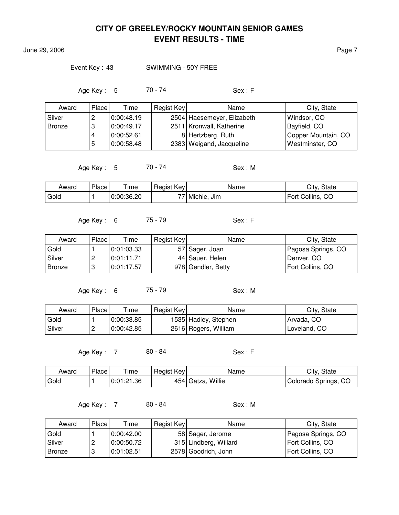**June 29, 2006** Page 7

#### Event Key : 43 SWIMMING - 50Y FREE

Age Key : 5 70 - 74 Sex : F

| Award         | Place | Time       | Regist Key | Name                       | City, State         |
|---------------|-------|------------|------------|----------------------------|---------------------|
| Silver        | ۷     | 0:00:48.19 |            | 2504 Haesemeyer, Elizabeth | Windsor, CO         |
| <b>Bronze</b> | 3     | 0:00:49.17 |            | 2511 Kronwall, Katherine   | Bayfield, CO        |
|               | 4     | 0:00:52.61 |            | 8 Hertzberg, Ruth          | Copper Mountain, CO |
|               | 5     | 0:00:58.48 |            | 2383 Weigand, Jacqueline   | Westminster, CO     |

Age Key : 5 70 - 74 Sex : M

| Award | Place | ime        | Regist Key | Name           | City,<br>State      |
|-------|-------|------------|------------|----------------|---------------------|
| Gold  |       | 0:00:36.20 | 77.        | Michie,<br>Jım | Fort Collins,<br>CO |

Age Key : 6 75 - 79 Sex : F

| Award  | Place | Time       | Regist Key | Name               | City, State        |
|--------|-------|------------|------------|--------------------|--------------------|
| Gold   |       | 0.01:03.33 |            | 57 Sager, Joan     | Pagosa Springs, CO |
| Silver |       | 0:01:11.71 |            | 44 Sauer, Helen    | Denver, CO         |
| Bronze |       | 0:01:17.57 |            | 978 Gendler, Betty | Fort Collins, CO   |

Age Key: 6 75 - 79 Sex: M

| Award  | Place    | Time       | Regist Key | Name                 | City, State  |
|--------|----------|------------|------------|----------------------|--------------|
| Gold   |          | 0:00:33.85 |            | 1535 Hadley, Stephen | Arvada, CO   |
| Silver | <u>_</u> | 0:00:42.85 |            | 2616 Rogers, William | Loveland, CO |

Age Key : 7 80 - 84 Sex : F

| Award | Place <sup> </sup> | Time       | Regist Key | Name              | City, State          |
|-------|--------------------|------------|------------|-------------------|----------------------|
| Gold  |                    | 0:01:21.36 |            | 454 Gatza, Willie | Colorado Springs, CO |

Age Key : 7 80 - 84 Sex : M

| Award         | Place  | Time       | Regist Key | Name                  | City, State        |
|---------------|--------|------------|------------|-----------------------|--------------------|
| Gold          |        | 0.00:42.00 |            | 58 Sager, Jerome      | Pagosa Springs, CO |
| Silver        | ▃      | 0:00:50.72 |            | 315 Lindberg, Willard | Fort Collins, CO   |
| <b>Bronze</b> | ິ<br>O | 0:01:02.51 |            | 2578 Goodrich, John   | Fort Collins, CO   |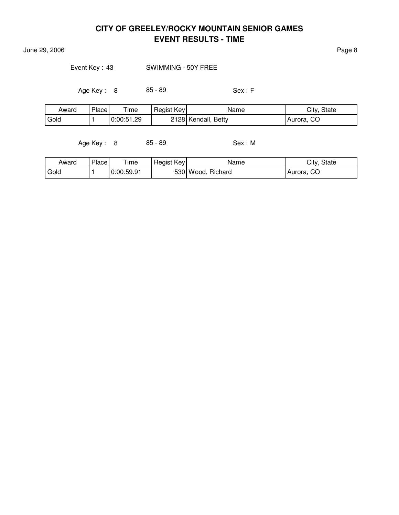**June 29, 2006** Page 8

Event Key : 43 SWIMMING - 50Y FREE

Age Key : 8 85 - 89 Sex : F

| Award | Place | $T$ ime    | Regist Key | Name                | City, State   |
|-------|-------|------------|------------|---------------------|---------------|
| Gold  |       | 0:00:51.29 |            | 2128 Kendall, Betty | CO<br>Aurora, |

Age Key : 8 85 - 89 Sex : M

| Award | Place | ime        | Regist Key | Name              | City, State  |
|-------|-------|------------|------------|-------------------|--------------|
| Gold  |       | 0:00:59.91 |            | 530 Wood, Richard | ' Aurora, CO |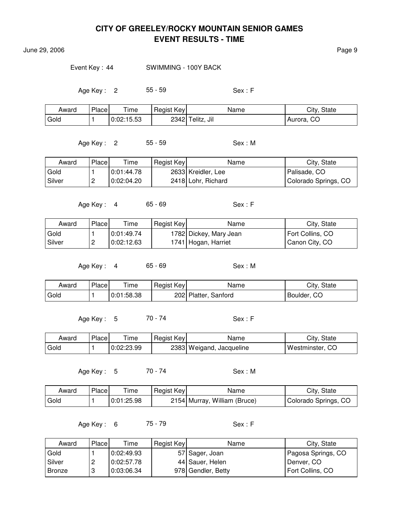**June 29, 2006** Page 9

Event Key: 44 SWIMMING - 100Y BACK

Age Key : 2 55 - 59 Sex : F

| Award | Place | $T$ ime    | Regist Key | Name             | City, State   |
|-------|-------|------------|------------|------------------|---------------|
| Gold  |       | 0:02:15.53 |            | 2342 Telitz, Jil | CO<br>Aurora, |

Age Key : 2 55 - 59 Sex : M

| Award  | Place    | Time       | Regist Key | Name               | City, State          |
|--------|----------|------------|------------|--------------------|----------------------|
| Gold   |          | 0:01:44.78 |            | 2633 Kreidler, Lee | Palisade, CO-        |
| Silver | <u>_</u> | 0:02:04.20 |            | 2418 Lohr, Richard | Colorado Springs, CO |

Age Key: 4 65 - 69 Sex: F

| Award  | Place | Time       | Regist Key | Name                   | City, State      |
|--------|-------|------------|------------|------------------------|------------------|
| Gold   |       | 0:01:49.74 |            | 1782 Dickey, Mary Jean | Fort Collins, CO |
| Silver | ∽     | 0:02:12.63 |            | 1741 Hogan, Harriet    | Canon City, CO   |

Age Key : 4 65 - 69 Sex : M

| Award | Place | ÷<br>ime   | Regist Key | Name                    | City<br><b>State</b> |
|-------|-------|------------|------------|-------------------------|----------------------|
| Gold  |       | 0:01:58.38 |            | 202 Platter,<br>Sanford | CO<br>Boulder,       |

Age Key: 5 70 - 74 Sex: F

| Award | Place | ime        | Regist Key | Name                     | City, State        |
|-------|-------|------------|------------|--------------------------|--------------------|
| Gold  |       | 0:02:23.99 |            | 2383 Weigand, Jacqueline | Westminster,<br>CC |

Age Key : 5 70 - 74 Sex : M

| Award | <b>Place</b> | ' ime      | Regist Key | Name                         | City, State          |
|-------|--------------|------------|------------|------------------------------|----------------------|
| Gold  |              | 0:01:25.98 |            | 2154 Murray, William (Bruce) | Colorado Springs, CO |

Age Key : 6 75 - 79 Sex : F

| Award    | Place | Time       | Regist Key | Name               | City, State        |
|----------|-------|------------|------------|--------------------|--------------------|
| Gold     |       | 0:02:49.93 |            | 57 Sager, Joan     | Pagosa Springs, CO |
| l Silver | ∼     | 0:02:57.78 |            | 44 Sauer, Helen    | Denver, CO         |
| l Bronze |       | 0:03:06.34 |            | 978 Gendler, Betty | Fort Collins, CO   |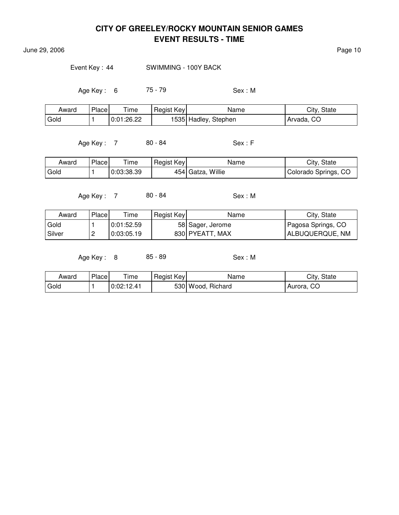June 29, 2006 **Page 10** 

Event Key: 44 SWIMMING - 100Y BACK

Age Key: 6 75 - 79 Sex: M

| Award | Place | $T$ ime    | Regist Key | Name                  | City, State |
|-------|-------|------------|------------|-----------------------|-------------|
| Gold  |       | 0:01:26.22 |            | 1535  Hadley, Stephen | Arvada, CO  |

Age Key : 7 80 - 84 Sex : F

| Award | Place | ime        | Regist Key | Name              | City, State          |
|-------|-------|------------|------------|-------------------|----------------------|
| Gold  |       | 0:03:38.39 |            | 454 Gatza, Willie | Colorado Springs, CO |

Age Key : 7 80 - 84 Sex : M

| Award    | Place | Time       | Regist Key | Name             | City, State        |
|----------|-------|------------|------------|------------------|--------------------|
| Gold     |       | 0.01:52.59 |            | 58 Sager, Jerome | Pagosa Springs, CO |
| l Silver | ▃     | 0:03:05.19 |            | 830 PYEATT, MAX  | ALBUQUERQUE, NM    |

Age Key : 8 85 - 89 Sex : M

| Award  | Place | Time       | Regist Key | Name              | City, State |
|--------|-------|------------|------------|-------------------|-------------|
| ' Gold |       | 0:02:12.41 |            | 530 Wood, Richard | Aurora, CO  |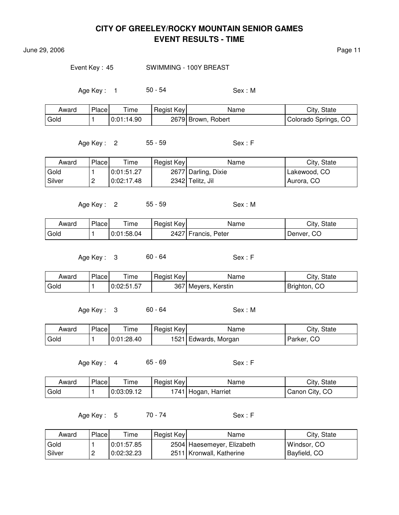June 29, 2006 Page 11

#### Event Key: 45 SWIMMING - 100Y BREAST

Age Key: 1 50 - 54 Sex: M

| Award | Place <sub>1</sub> | $T$ ime    | Regist Key | Name               | City, State          |
|-------|--------------------|------------|------------|--------------------|----------------------|
| Gold  |                    | 0:01:14.90 |            | 2679 Brown, Robert | Colorado Springs, CO |

Age Key : 2 55 - 59 Sex : F

Award Place Time Regist Key Name Name City, State Gold  $\vert$  1  $\vert$  0:01:51.27  $\vert$  2677 Darling, Dixie Lakewood, CO Silver | 2 | 0:02:17.48 | 2342 Telitz, Jil | Aurora, CO

Age Key : 2 55 - 59 Sex : M

| Award | Place | ime        | Regist Key | Name                | City, State |
|-------|-------|------------|------------|---------------------|-------------|
| Gold  |       | 0:01:58.04 |            | 2427 Francis, Peter | Denver, CO  |

Age Key : 3 60 - 64 Sex : F

Award Place Time Regist Key Name Name City, State Gold  $\vert$  1  $\vert$  0:02:51.57  $\vert$  367 Meyers, Kerstin **Brighton**, CO

Age Key: 3 60 - 64 Sex: M

| Award | Place | Time       | Regist Key | Name                 | City, State |
|-------|-------|------------|------------|----------------------|-------------|
| Gold  |       | 0:01:28.40 |            | 1521 Edwards, Morgan | Parker, CO  |

Age Key : 4 65 - 69 Sex : F

| Award | Place | $T$ ime    | Regist Key | Name                | City, State    |
|-------|-------|------------|------------|---------------------|----------------|
| Gold  |       | 0:03:09.12 |            | 1741 Hogan, Harriet | Canon City, CO |

Age Key : 5 70 - 74 Sex : F

| Award  | Place    | Time       | Regist Key | Name                       | City, State         |
|--------|----------|------------|------------|----------------------------|---------------------|
| Gold   |          | 0:01:57.85 |            | 2504 Haesemeyer, Elizabeth | Windsor, CO         |
| Silver | <u>_</u> | 0:02:32.23 |            | 2511 Kronwall, Katherine   | <b>Bayfield, CO</b> |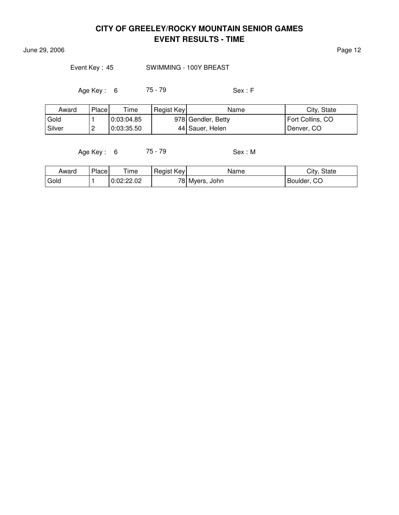**June 29, 2006** Page 12

#### Event Key: 45 SWIMMING - 100Y BREAST

Age Key : 6 75 - 79 Sex : F

| Award    | Place    | Time       | Regist Key | Name               | City, State      |
|----------|----------|------------|------------|--------------------|------------------|
| Gold     |          | 0:03:04.85 |            | 978 Gendler, Betty | Fort Collins, CO |
| l Silver | <u>.</u> | 0:03:35.50 |            | 44 Sauer, Helen    | Denver, CO       |

Age Key : 6 75 - 79 Sex : M

| Award | Place | Time       | Regist Key | Name           | City, State      |
|-------|-------|------------|------------|----------------|------------------|
| Gold  |       | 0:02:22.02 |            | 78 Myers, John | . CO<br>Boulder, |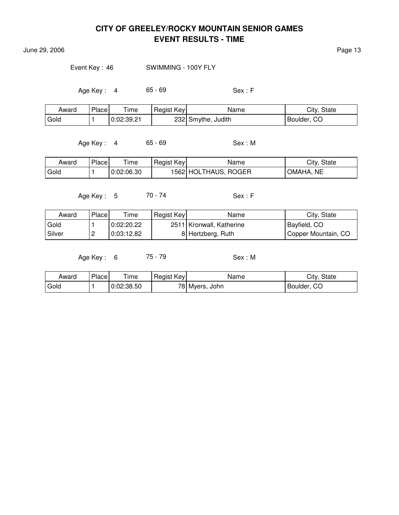June 29, 2006 **Page 13** 

Event Key: 46 SWIMMING - 100Y FLY

Age Key : 4 65 - 69 Sex : F

| Award | Place | $T$ ime    | Regist Key | Name               | City, State |
|-------|-------|------------|------------|--------------------|-------------|
| Gold  |       | 0:02:39.21 |            | 232 Smythe, Judith | Boulder, CO |

Age Key : 4 65 - 69 Sex : M

| Award | Place | ime        | Regist Key | Name                 | City, State         |
|-------|-------|------------|------------|----------------------|---------------------|
| Gold  |       | 0:02:06.30 |            | 1562 HOLTHAUS, ROGER | <b>NE</b><br>OMAHA. |

Age Key : 5 70 - 74 Sex : F

| Award    | Place    | Time       | Regist Key | Name                     | City, State         |
|----------|----------|------------|------------|--------------------------|---------------------|
| Gold     |          | 0:02:20.22 |            | 2511 Kronwall, Katherine | Bayfield, CO        |
| l Silver | <u>_</u> | 0:03:12.82 |            | 8 Hertzberg, Ruth        | Copper Mountain, CO |

Age Key: 6 75 - 79 Sex: M

| Award | Place | ime        | Regist Key | Name           | City, State |
|-------|-------|------------|------------|----------------|-------------|
| Gold  |       | 0:02:38.50 |            | 78 Myers, John | Boulder, CO |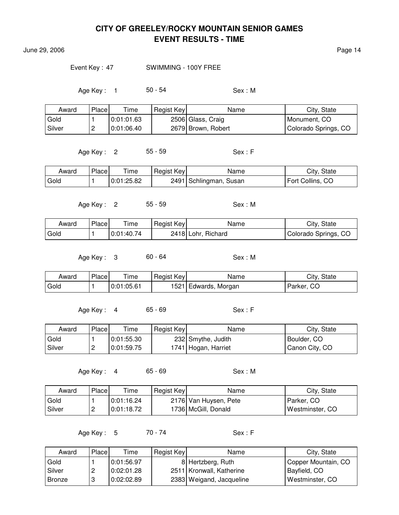June 29, 2006 **Page 14** 

#### Event Key : 47 SWIMMING - 100Y FREE

Age Key : 1 50 - 54 Sex : M

| Award  | Place    | Time       | Regist Key | Name               | City, State          |
|--------|----------|------------|------------|--------------------|----------------------|
| Gold   |          | 0:01:01.63 |            | 2506 Glass, Craig  | Monument, CO         |
| Silver | <u>_</u> | 0.01:06.40 |            | 2679 Brown, Robert | Colorado Springs, CO |

Age Key : 2 55 - 59 Sex : F

| Award | Place | Time       | Regist Key | Name                   | City, State      |
|-------|-------|------------|------------|------------------------|------------------|
| Gold  |       | 0:01:25.82 |            | 2491 Schlingman, Susan | Fort Collins, CO |

Age Key: 2 55 - 59 Sex: M

| Award | Place | ime        | Regist Key | Name               | City, State          |
|-------|-------|------------|------------|--------------------|----------------------|
| Gold  |       | 0:01:40.74 |            | 2418 Lohr, Richard | Colorado Springs, CO |

Age Key : 3 60 - 64 Sex : M

| Award | Place | $T$ ime    | Regist Key | Name                 | City, State |
|-------|-------|------------|------------|----------------------|-------------|
| Gold  |       | 0:01:05.61 |            | 1521 Edwards, Morgan | Parker, CO  |

Age Key : 4 65 - 69 Sex : F

| Award    | Place    | Time       | Regist Key | Name                | City, State    |
|----------|----------|------------|------------|---------------------|----------------|
| Gold     |          | 0:01:55.30 |            | 232 Smythe, Judith  | Boulder, CO    |
| l Silver | <u>_</u> | 0:01:59.75 |            | 1741 Hogan, Harriet | Canon City, CO |

Age Key : 4 65 - 69 Sex : M

| Award    | Place    | Time       | Regist Key | Name                  | City, State     |
|----------|----------|------------|------------|-----------------------|-----------------|
| Gold     |          | 0:01:16.24 |            | 2176 Van Huysen, Pete | Parker, CO      |
| l Silver | <u>.</u> | 0.01:18.72 |            | 1736 McGill, Donald   | Westminster, CO |

Age Key : 5 70 - 74 Sex : F

| Award    | Place | Time       | Regist Key | Name                       | City, State         |
|----------|-------|------------|------------|----------------------------|---------------------|
| Gold     |       | 0:01:56.97 |            | 8 Hertzberg, Ruth          | Copper Mountain, CO |
| l Silver | ←     | 0:02:01.28 |            | 2511   Kronwall, Katherine | Bayfield, CO        |
| l Bronze | u     | 0:02:02.89 |            | 2383 Weigand, Jacqueline   | Westminster, CO     |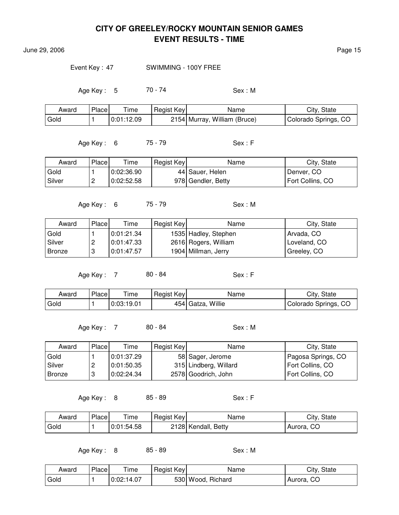June 29, 2006 **Page 15** 

Event Key : 47 SWIMMING - 100Y FREE

Age Key : 5 70 - 74 Sex : M

| Award | Place | <b>ime</b>   | Regist Key | Name                         | City, State          |
|-------|-------|--------------|------------|------------------------------|----------------------|
| Gold  |       | 0:01:12.09 0 |            | 2154 Murray, William (Bruce) | Colorado Springs, CO |

Age Key : 6 75 - 79 Sex : F

Award Place Time Regist Key Name Name City, State Gold  $\vert$  1  $\vert$  0:02:36.90  $\vert$  44 Sauer, Helen  $\vert$  Denver, CO Silver | 2 | 0:02:52.58 | 978 Gendler, Betty | Fort Collins, CO

Age Key: 6 75 - 79 Sex: M

Award Place Time Regist Key Name Name City, State Gold  $\vert$  1  $\vert$  0:01:21.34  $\vert$  1535 Hadley, Stephen  $\vert$  Arvada, CO Silver | 2 | 0:01:47.33 | 2616 Rogers, William | Loveland, CO Bronze | 3 | 0:01:47.57 | 1904 Millman, Jerry | Greeley, CO

Age Key : 7 80 - 84 Sex : F

| Award             | Place | $- \cdot$<br>ime | Regist Key | Name                 | City, State          |
|-------------------|-------|------------------|------------|----------------------|----------------------|
| <sup>I</sup> Gold |       | l 0:03:19.01     |            | Willie<br>454 Gatza, | Colorado Springs, CO |

Age Key: 7 80 - 84 Sex: M

| Award    | <b>Place</b> | Time       | Regist Key | Name                  | City, State        |
|----------|--------------|------------|------------|-----------------------|--------------------|
| Gold     |              | 0:01:37.29 |            | 58 Sager, Jerome      | Pagosa Springs, CO |
| l Silver | ▃            | 0:01:50.35 |            | 315 Lindberg, Willard | Fort Collins, CO   |
| Bronze   |              | 0:02:24.34 |            | 2578 Goodrich, John   | Fort Collins, CO   |

Age Key: 8 85 - 89 Sex: F

| Award  | Place | Time       | Regist Key | Name                | City, State |
|--------|-------|------------|------------|---------------------|-------------|
| ' Gold |       | 0:01:54.58 |            | 2128 Kendall, Betty | Aurora, CO  |

Age Key: 8 85 - 89 Sex: M

| Award | Place | ime        | Regist Key | Name              | City,<br>State |
|-------|-------|------------|------------|-------------------|----------------|
| Gold  |       | 0:02:14.07 |            | 530 Wood, Richard | CO<br>Aurora,  |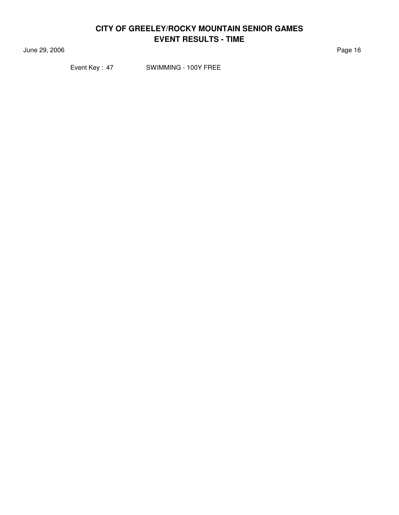June 29, 2006 **Page 16** 

Event Key: 47 SWIMMING - 100Y FREE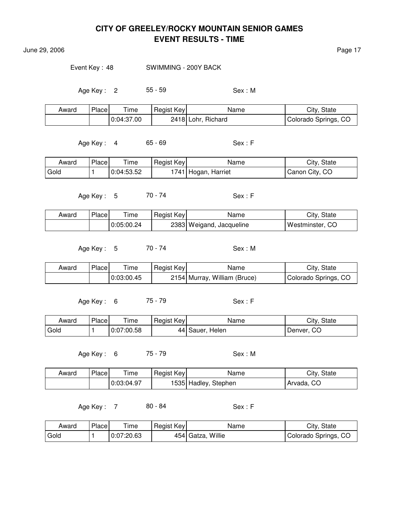June 29, 2006 **Page 17** 

Event Key : 48 SWIMMING - 200Y BACK

Age Key : 2 55 - 59 Sex : M

| Award | Place | Time       | Regist Key | Name               | City, State          |
|-------|-------|------------|------------|--------------------|----------------------|
|       |       | 0:04:37.00 |            | 2418 Lohr, Richard | Colorado Springs, CO |

Age Key : 4 65 - 69 Sex : F

| Award | Place | ime        | Regist Key | Name                | City, State    |
|-------|-------|------------|------------|---------------------|----------------|
| Gold  |       | 0:04:53.52 |            | 1741 Hogan, Harriet | Canon City, CO |

Age Key : 5 70 - 74 Sex : F

| Award | Place | Time       | Regist Key | Name                     | City, State     |
|-------|-------|------------|------------|--------------------------|-----------------|
|       |       | 0:05:00.24 |            | 2383 Weigand, Jacqueline | Westminster, CO |

Age Key : 5 70 - 74 Sex : M

| Award | Place | ime        | Regist Key | Name                         | City, State          |
|-------|-------|------------|------------|------------------------------|----------------------|
|       |       | 0:03:00.45 |            | 2154 Murray, William (Bruce) | Colorado Springs, CO |

Age Key: 6 75 - 79 Sex: F

| Award | Place <sub>1</sub> | ime        | Regist Key | Name            | City, State |
|-------|--------------------|------------|------------|-----------------|-------------|
| Gold  |                    | 0:07:00.58 |            | 44 Sauer, Helen | Denver, CO  |

Age Key : 6 75 - 79 Sex : M

| Award | Place | $T$ ime    | Regist Key | Name                 | City, State             |
|-------|-------|------------|------------|----------------------|-------------------------|
|       |       | 0:03:04.97 |            | 1535 Hadley, Stephen | <sup>i</sup> Arvada, CO |

Age Key : 7 80 - 84 Sex : F

| Award | Place | $\mathsf{r}_{\mathsf{ime}}$ | Regist Key | Name              | City, State          |
|-------|-------|-----------------------------|------------|-------------------|----------------------|
| Gold  |       | 0:07:20.63                  |            | 454 Gatza, Willie | Colorado Springs, CO |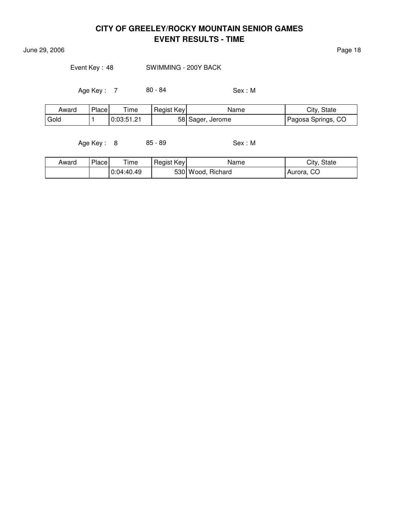June 29, 2006 **Page 18** 

Event Key: 48 SWIMMING - 200Y BACK

Age Key : 7 80 - 84 Sex : M

| Award             | Place | --<br>ıme  | Regist Key | Name             | City, State        |
|-------------------|-------|------------|------------|------------------|--------------------|
| <sup>'</sup> Gold |       | 0:03:51.21 | 58         | Jerome<br>Sager, | Pagosa Springs, CO |

Age Key : 8 85 - 89 Sex : M

| Award | <b>Place</b> | Time       | Regist Key | Name              | City, State  |
|-------|--------------|------------|------------|-------------------|--------------|
|       |              | 0:04:40.49 |            | 530 Wood, Richard | ' Aurora, CO |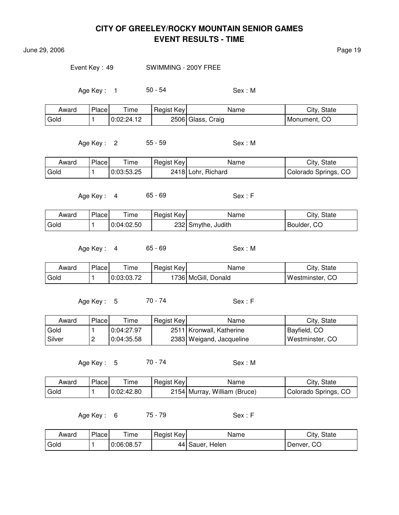June 29, 2006 Page 19

Event Key : 49 SWIMMING - 200Y FREE

Age Key : 1 50 - 54 Sex : M

| Award | Place | ime        | Regist Key | Name              | City, State  |
|-------|-------|------------|------------|-------------------|--------------|
| Gold  |       | 0.02.24.12 |            | 2506 Glass, Craig | Monument, CO |

Age Key : 2 55 - 59 Sex : M

| Award | Place | ime        | Regist Key | Name               | City, State          |
|-------|-------|------------|------------|--------------------|----------------------|
| Gold  |       | 0:03:53.25 |            | 2418 Lohr, Richard | Colorado Springs, CO |

Age Key : 4 65 - 69 Sex : F

| Award | Place | Time       | Regist Key | Name               | City, State |
|-------|-------|------------|------------|--------------------|-------------|
| Gold  |       | 0:04:02.50 |            | 232 Smythe, Judith | Boulder, CO |

Age Key: 4 65 - 69 Sex: M

| Award | Place | ime        | Regist Key | Name                             | City, State         |
|-------|-------|------------|------------|----------------------------------|---------------------|
| Gold  |       | 0:03:03.72 |            | ்736  McGill, <b>ட</b><br>Donald | Westminster,<br>-CC |

Age Key : 5 70 - 74 Sex : F

| Award  | Place | Time       | Regist Key | Name                       | City, State     |
|--------|-------|------------|------------|----------------------------|-----------------|
| Gold   |       | 0:04:27.97 |            | 2511   Kronwall, Katherine | Bayfield, CO    |
| Silver | ▃     | 0:04:35.58 |            | 2383 Weigand, Jacqueline   | Westminster, CO |

Age Key : 5 70 - 74 Sex : M

| Award | Place | ∖ ime      | Regist Key | Name                         | City, State          |
|-------|-------|------------|------------|------------------------------|----------------------|
| Gold  |       | 0:02:42.80 |            | 2154 Murray, William (Bruce) | Colorado Springs, CO |

Age Key: 6 75 - 79 Sex: F

| Award | Place | ime        | Regist Key | Name            | City, State |
|-------|-------|------------|------------|-----------------|-------------|
| Gold  |       | 0:06:08.57 |            | 44 Sauer, Helen | Denver, CO  |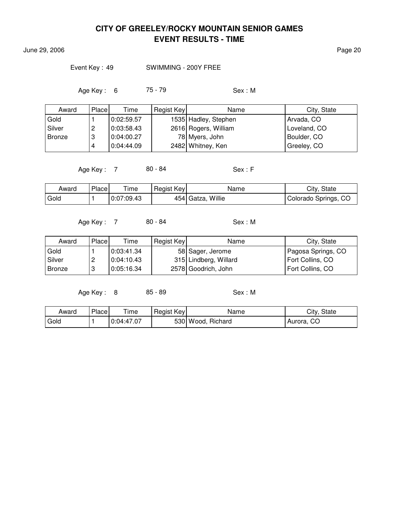June 29, 2006 Page 20

Event Key : 49 SWIMMING - 200Y FREE

Age Key : 6 75 - 79 Sex : M

| Award         | Place | Time       | Regist Key | Name                 | City, State  |
|---------------|-------|------------|------------|----------------------|--------------|
| Gold          |       | 0:02:59.57 |            | 1535 Hadley, Stephen | Arvada, CO   |
| Silver        | 2     | 0:03:58.43 |            | 2616 Rogers, William | Loveland, CO |
| <b>Bronze</b> | Ι3    | 0.04:00.27 |            | 78 Myers, John       | Boulder, CO  |
|               | 4     | 0.04:44.09 |            | 2482 Whitney, Ken    | Greeley, CO  |

Age Key : 7 80 - 84 Sex : F

| Award             | Place | $T$ ime    | Regist Key | Name              | City, State          |
|-------------------|-------|------------|------------|-------------------|----------------------|
| <sup>1</sup> Gold |       | 0:07:09.43 |            | 454 Gatza, Willie | Colorado Springs, CO |

Age Key : 7 80 - 84 Sex : M

| Award  | Place    | Time       | Regist Key | Name                  | City, State        |
|--------|----------|------------|------------|-----------------------|--------------------|
| Gold   |          | 0:03:41.34 |            | 58 Sager, Jerome      | Pagosa Springs, CO |
| Silver | <u>.</u> | 0:04:10.43 |            | 315 Lindberg, Willard | Fort Collins, CO   |
| Bronze | റ<br>J   | 0:05:16.34 |            | 2578 Goodrich, John   | Fort Collins, CO   |

Age Key : 8 85 - 89 Sex : M

| Award | Place | ime        | Regist Key | Name              | City, State |
|-------|-------|------------|------------|-------------------|-------------|
| Gold  |       | 0:04:47.07 |            | 530 Wood, Richard | Aurora, CO  |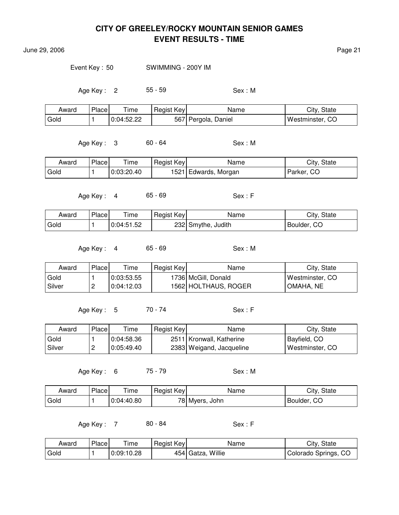June 29, 2006 Page 21

Event Key : 50 SWIMMING - 200Y IM

Age Key : 2 55 - 59 Sex : M

| Award | Place | $T$ ime    | Regist Key | Name              | City, State     |
|-------|-------|------------|------------|-------------------|-----------------|
| Gold  |       | 0:04:52.22 | 567        | ' Pergola, Daniel | Westminster, CO |

Age Key : 3 60 - 64 Sex : M

| Award | Place | $\mathsf{r}_{\mathsf{ime}}$ | Regist Key | Name                 | City, State |
|-------|-------|-----------------------------|------------|----------------------|-------------|
| Gold  |       | 0:03:20.40                  |            | 1521 Edwards, Morgan | Parker, CO  |

Age Key : 4 65 - 69 Sex : F

| Award | Place | Time       | Regist Key | Name               | City, State |
|-------|-------|------------|------------|--------------------|-------------|
| Gold  |       | 0:04:51.52 |            | 232 Smythe, Judith | Boulder, CO |

Age Key: 4 65 - 69 Sex: M

| Award  | Place    | $\tau$ ime | Regist Key | Name                 | City, State     |
|--------|----------|------------|------------|----------------------|-----------------|
| Gold   |          | 0:03:53.55 |            | 1736 McGill, Donald  | Westminster, CO |
| Silver | <u>_</u> | 0:04:12.03 |            | 1562 HOLTHAUS, ROGER | OMAHA. NE       |

Age Key : 5 70 - 74 Sex : F

| Award    | Place    | Time       | Regist Key | Name                     | City, State     |
|----------|----------|------------|------------|--------------------------|-----------------|
| Gold     |          | 0:04:58.36 |            | 2511 Kronwall, Katherine | Bayfield, CO    |
| l Silver | <u>.</u> | 0:05:49.40 |            | 2383 Weigand, Jacqueline | Westminster, CO |

Age Key : 6 75 - 79 Sex : M

| Award | Place | ÷.<br>ime  | Regist Key | Name        | City,<br>State |
|-------|-------|------------|------------|-------------|----------------|
| Gold  |       | 0:04:40.80 | 78I i      | Mvers, John | CO<br>Boulder, |

Age Key : 7 80 - 84 Sex : F

| Award | Place | ime        | Regist Key | Name                   | City, State          |
|-------|-------|------------|------------|------------------------|----------------------|
| Gold  |       | 0:09:10.28 |            | Willie<br>$454$ Gatza, | Colorado Springs, CO |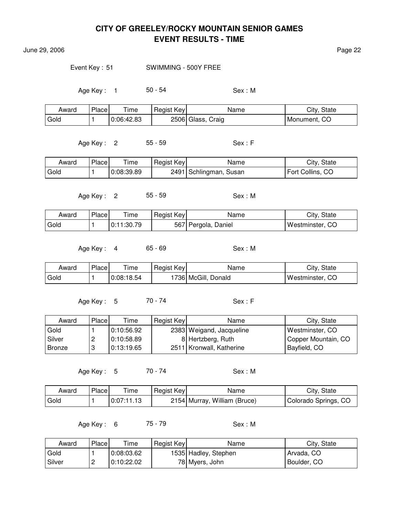June 29, 2006 Page 22

Event Key: 51 SWIMMING - 500Y FREE

Age Key : 1 50 - 54 Sex : M

| Award | Place | Time       | Regist Key | Name              | City, State  |
|-------|-------|------------|------------|-------------------|--------------|
| Gold  |       | 0:06:42.83 |            | 2506 Glass, Craig | Monument, CO |

Age Key: 2 55 - 59 Sex: F

| Award | Place | Time       | Regist Key | Name                   | City, State      |
|-------|-------|------------|------------|------------------------|------------------|
| Gold  |       | 0:08:39.89 |            | 2491 Schlingman, Susan | Fort Collins, CO |

Age Key : 2 55 - 59 Sex : M

| Award | Place | Time       | Regist Key | Name                | City, State     |
|-------|-------|------------|------------|---------------------|-----------------|
| Gold  |       | 0:11:30.79 |            | 567 Pergola, Daniel | Westminster, CO |

Age Key: 4 65 - 69 Sex: M

| Award | Place | ime        | Regist Key | Name                  | City, State        |
|-------|-------|------------|------------|-----------------------|--------------------|
| Gold  |       | 0:08:18.54 |            | '736   McGill, Donald | Westminster,<br>CC |

Age Key: 5 70 - 74 Sex: F

| Award  | Place | Time       | Regist Key | Name                       | City, State         |
|--------|-------|------------|------------|----------------------------|---------------------|
| Gold   |       | 0:10:56.92 |            | 2383 Weigand, Jacqueline   | Westminster, CO     |
| Silver |       | 0:10:58.89 |            | 8 Hertzberg, Ruth          | Copper Mountain, CO |
| Bronze |       | 0:13:19.65 |            | 2511   Kronwall, Katherine | Bayfield, CO        |

Age Key : 5 70 - 74 Sex : M

| Award | Place | Time       | Regist Key | Name                         | City, State          |
|-------|-------|------------|------------|------------------------------|----------------------|
| Gold  |       | 0:07:11.13 |            | 2154 Murray, William (Bruce) | Colorado Springs, CO |

Age Key: 6 75 - 79 Sex: M

| Award    | Place                    | Time       | Regist Key | Name                 | City, State |
|----------|--------------------------|------------|------------|----------------------|-------------|
| Gold     |                          | 0:08:03.62 |            | 1535 Hadley, Stephen | Arvada, CO  |
| l Silver | $\overline{\phantom{a}}$ | 0:10:22.02 |            | 78 Myers, John       | Boulder, CO |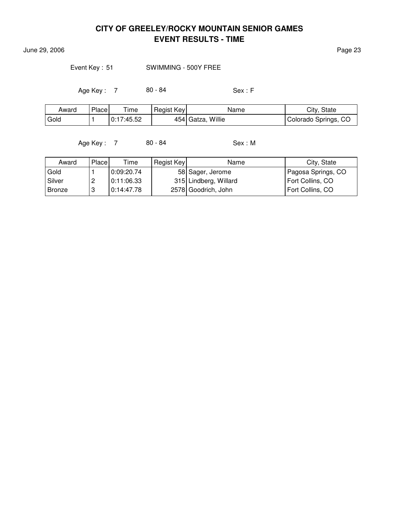June 29, 2006 Page 23

Event Key: 51 SWIMMING - 500Y FREE

Age Key : 7 80 - 84 Sex : F

| Award             | Place | $T$ ime    | Regist Key | Name                 | City, State          |
|-------------------|-------|------------|------------|----------------------|----------------------|
| <sup>I</sup> Gold |       | 0:17:45.52 |            | Willie<br>454 Gatza, | Colorado Springs, CO |

Age Key : 7 80 - 84 Sex : M

| Award         | Place | Time       | Regist Key | Name                  | City, State        |
|---------------|-------|------------|------------|-----------------------|--------------------|
| Gold          |       | 0:09:20.74 |            | 58 Sager, Jerome      | Pagosa Springs, CO |
| Silver        |       | 0:11:06.33 |            | 315 Lindberg, Willard | Fort Collins, CO   |
| <b>Bronze</b> | 3     | 0:14:47.78 |            | 2578 Goodrich, John   | Fort Collins, CO   |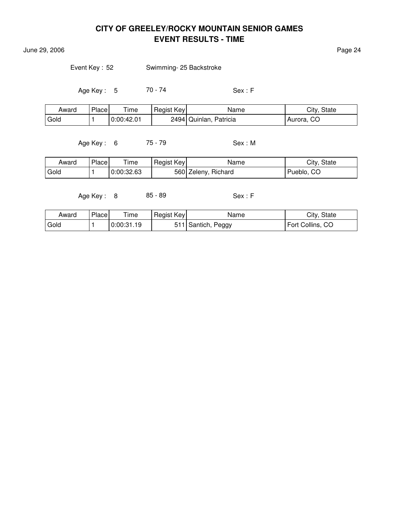June 29, 2006 Page 24

Event Key: 52 Swimming- 25 Backstroke

Age Key : 5 70 - 74 Sex : F

| Award | Place | $T$ ime    | Regist Key | Name                   | City, State |
|-------|-------|------------|------------|------------------------|-------------|
| Gold  |       | 0:00:42.01 |            | 2494 Quinlan, Patricia | Aurora, CO  |

Age Key : 6 75 - 79 Sex : M

| Award | Place | ime        | Regist Key | Name                | City, State |
|-------|-------|------------|------------|---------------------|-------------|
| Gold  |       | 0:00:32.63 |            | 560 Zeleny, Richard | Pueblo, CO  |

Age Key : 8 85 - 89 Sex : F

| Award | Place | Time       | Regist Key | Name                  | City, State      |
|-------|-------|------------|------------|-----------------------|------------------|
| Gold  |       | 0:00:31.19 |            | Peggy<br>' Santich, . | Fort Collins, CO |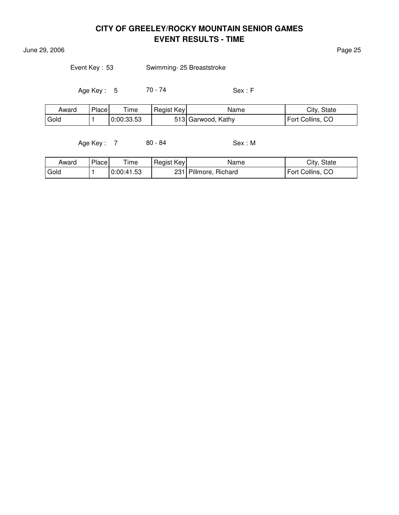**June 29, 2006** Page 25

| Event Key: 53 | Swimming- 25 Breaststroke |
|---------------|---------------------------|
|---------------|---------------------------|

Age Key : 5 70 - 74 Sex : F

| Award  | Place | $T$ ime    | Regist Key | Name               | City, State      |
|--------|-------|------------|------------|--------------------|------------------|
| l Gold |       | 0:00:33.53 |            | 513 Garwood, Kathy | Fort Collins, CO |

Age Key : 7 80 - 84 Sex : M

| Award  | Place | Time       | Regist Key | Name                  | City, State      |
|--------|-------|------------|------------|-----------------------|------------------|
| ' Gold |       | 0:00:41.53 |            | 231 Pillmore, Richard | Fort Collins, CO |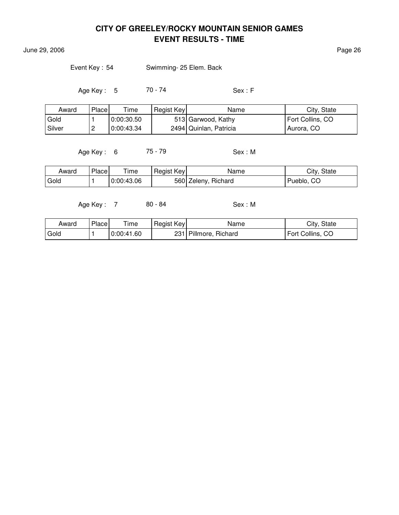June 29, 2006 Page 26

Event Key : 54 Swimming- 25 Elem. Back

Age Key : 5 70 - 74 Sex : F

| Award    | Place | Time       | Regist Key | Name                     | City, State      |
|----------|-------|------------|------------|--------------------------|------------------|
| Gold     |       | 0:00:30.50 |            | 513 Garwood, Kathy       | Fort Collins, CO |
| l Silver |       | 0:00:43.34 |            | 2494   Quinlan, Patricia | Aurora, CO       |

Age Key: 6 75 - 79 Sex: M

| Award | Place | Time       | Regist Key | Name                | City, State   |
|-------|-------|------------|------------|---------------------|---------------|
| Gold  |       | 0:00:43.06 |            | 560 Zeleny, Richard | CO<br>Pueblo, |

Age Key : 7 80 - 84 Sex : M

| Award  | Place | Time       | Regist Key | Name                  | City, State      |
|--------|-------|------------|------------|-----------------------|------------------|
| ' Gold |       | 0:00:41.60 |            | 231 Pillmore, Richard | Fort Collins, CO |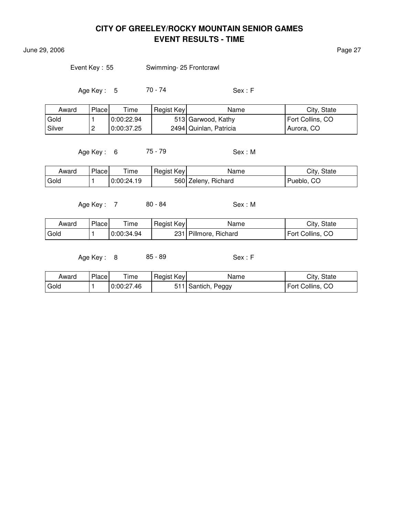June 29, 2006 **Page 27** 

Event Key: 55 Swimming- 25 Frontcrawl

Age Key : 5 70 - 74 Sex : F

| Award  | Place    | $T$ ime    | Regist Key | Name                   | City, State      |
|--------|----------|------------|------------|------------------------|------------------|
| Gold   |          | 0.00.22.94 |            | 513 Garwood, Kathy     | Fort Collins, CO |
| Silver | <u>.</u> | 0:00:37.25 |            | 2494 Quinlan, Patricia | Aurora, CO       |

Age Key: 6 75 - 79 Sex: M

| Award | Place | --<br>ime  | Regist Key | Name                | City, State |
|-------|-------|------------|------------|---------------------|-------------|
| Gold  |       | 0:00:24.19 |            | 560 Zeleny, Richard | Pueblo, CO  |

Age Key : 7 80 - 84 Sex : M

| Award | Place | Time       | Regist Key | Name                  | City, State      |
|-------|-------|------------|------------|-----------------------|------------------|
| Gold  |       | 0:00:34.94 |            | 231 Pillmore, Richard | Fort Collins, CO |

Age Key : 8 85 - 89 Sex : F

| Award | Place | Time       | Regist Key | Name               | City, State      |
|-------|-------|------------|------------|--------------------|------------------|
| Gold  |       | 0:00:27.46 |            | 511 Santich, Peggy | Fort Collins, CO |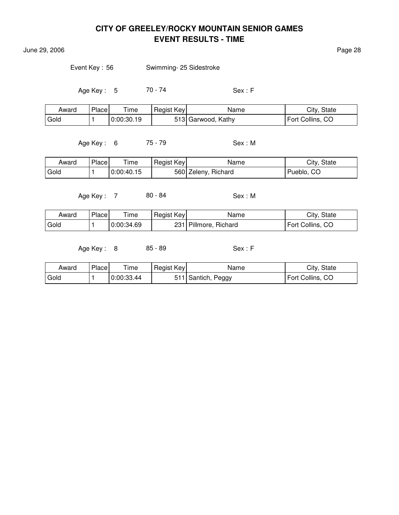June 29, 2006 Page 28

Event Key: 56 Swimming- 25 Sidestroke

Age Key : 5 70 - 74 Sex : F

| Award | Place | Time       | Regist Key | Name               | City, State      |
|-------|-------|------------|------------|--------------------|------------------|
| Gold  |       | 0:00:30.19 |            | 513 Garwood, Kathy | Fort Collins, CO |

Age Key : 6 75 - 79 Sex : M

| Award | Place | ime        | Regist Key | Name                | City, State |
|-------|-------|------------|------------|---------------------|-------------|
| Gold  |       | 0:00:40.15 |            | 560 Zeleny, Richard | Pueblo, CO  |

Age Key : 7 80 - 84 Sex : M

| Award | Place | Time       | <b>Regist Keyl</b> | Name              | City, State      |
|-------|-------|------------|--------------------|-------------------|------------------|
| Gold  |       | 0:00:34.69 | 231                | Pillmore, Richard | Fort Collins, CO |

Age Key : 8 85 - 89 Sex : F

| Award | Place | l ime      | Regist Key | Name                  | City, State      |
|-------|-------|------------|------------|-----------------------|------------------|
| Gold  |       | 0:00:33.44 |            | ' Santich, .<br>Peggy | Fort Collins, CO |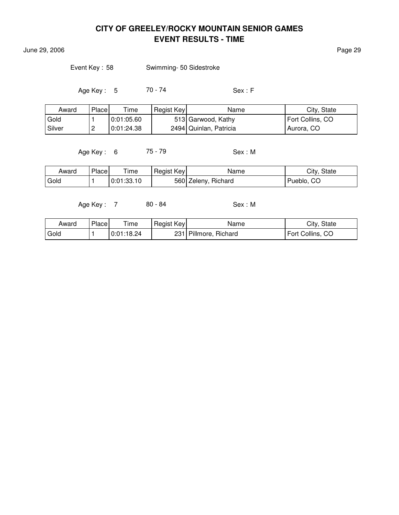June 29, 2006 Page 29

Event Key : 58 Swimming- 50 Sidestroke

Age Key : 5 70 - 74 Sex : F

| Award  | Place    | Time       | Regist Key | Name                     | City, State      |
|--------|----------|------------|------------|--------------------------|------------------|
| Gold   |          | 0.01:05.60 |            | 513 Garwood, Kathy       | Fort Collins, CO |
| Silver | <u>_</u> | 0:01:24.38 |            | 2494   Quinlan, Patricia | Aurora, CO       |

Age Key: 6 75 - 79 Sex: M

| Award | Place | Time       | Regist Key | Name                | City, State |
|-------|-------|------------|------------|---------------------|-------------|
| Gold  |       | 0:01:33.10 |            | 560 Zeleny, Richard | Pueblo, CO  |

Age Key : 7 80 - 84 Sex : M

| Award  | Place | Time       | Regist Key | Name                  | City, State      |
|--------|-------|------------|------------|-----------------------|------------------|
| ' Gold |       | 0:01:18.24 |            | 231 Pillmore, Richard | Fort Collins, CO |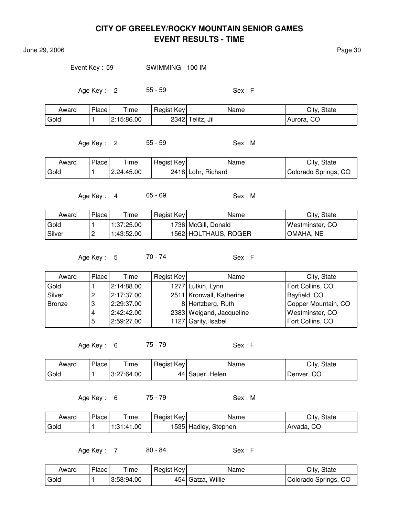June 29, 2006 Page 30

Event Key : 59 SWIMMING - 100 IM

Age Key : 2 55 - 59 Sex : F

| Award | Place | Time       | Regist Key | Name             | City, State   |
|-------|-------|------------|------------|------------------|---------------|
| Gold  |       | 2:15:86.00 |            | 2342 Telitz, Jil | CO<br>Aurora, |

Age Key : 2 55 - 59 Sex : M

| Award | Place | l ime      | Regist Key | Name               | City, State          |
|-------|-------|------------|------------|--------------------|----------------------|
| Gold  |       | 2:24:45.00 |            | 2418 Lohr, Richard | Colorado Springs, CO |

Age Key : 4 65 - 69 Sex : M

| Award    | Place | Time       | Regist Key | Name                 | City, State     |
|----------|-------|------------|------------|----------------------|-----------------|
| Gold     |       | 1:37:25.00 |            | 1736 McGill, Donald  | Westminster, CO |
| l Silver |       | 1:43:52.00 |            | 1562 HOLTHAUS, ROGER | OMAHA, NE       |

Age Key : 5 70 - 74 Sex : F

| Award  | <b>Place</b> | Time       | Regist Key | Name                     | City, State         |
|--------|--------------|------------|------------|--------------------------|---------------------|
| Gold   |              | 2:14:88.00 |            | 1277 Lutkin, Lynn        | Fort Collins, CO    |
| Silver | ے            | 2:17:37.00 |            | 2511 Kronwall, Katherine | Bayfield, CO        |
| Bronze | 3            | 2:29:37.00 |            | 8 Hertzberg, Ruth        | Copper Mountain, CO |
|        | 4            | 2:42:42.00 |            | 2383 Weigand, Jacqueline | Westminster, CO     |
|        | 5            | 2:59:27.00 |            | 1127 Garity, Isabel      | Fort Collins, CO    |

Age Key : 6 75 - 79 Sex : F

| Award | Place | $\tau$ ime | Regist Key | Name            | City, State |
|-------|-------|------------|------------|-----------------|-------------|
| Gold  |       | 3:27:64.00 |            | 44 Sauer, Helen | Denver, CO  |

Age Key: 6 75 - 79 Sex: M

| Award | Place | ÷<br>ime   | Regist Key | Name                  | City.<br>State |
|-------|-------|------------|------------|-----------------------|----------------|
| Gold  |       | 1:31:41.00 |            | 1535  Hadley, Stephen | CO<br>Arvada,  |

Age Key : 7 80 - 84 Sex : F

| Award  | Place | $T$ ime    | Regist Key | Name              | City, State          |
|--------|-------|------------|------------|-------------------|----------------------|
| ' Gold |       | 3:58:94.00 |            | 454 Gatza, Willie | Colorado Springs, CO |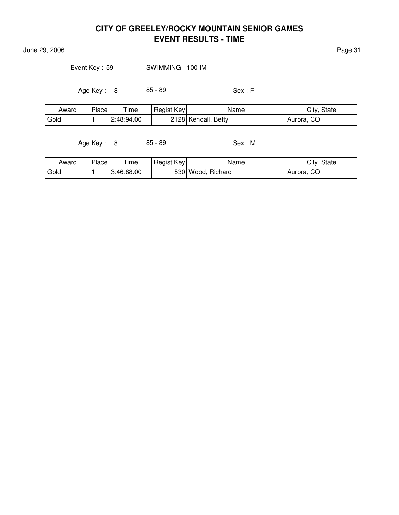June 29, 2006 Page 31

Event Key : 59 SWIMMING - 100 IM

Age Key : 8 85 - 89 Sex : F

| Award             | Place | Time       | Regist Key | Name                | City, State   |
|-------------------|-------|------------|------------|---------------------|---------------|
| <sup>I</sup> Gold |       | 2:48:94.00 |            | 2128 Kendall, Betty | CO<br>Aurora, |

Age Key : 8 85 - 89 Sex : M

| Award | <b>Place</b> | Time       | Regist Key | Name              | City, State |
|-------|--------------|------------|------------|-------------------|-------------|
| Gold  |              | 3:46:88.00 |            | 530 Wood, Richard | Aurora, CO  |